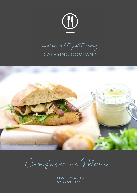

we're not just any CATERING COMPANY



Confessence Mensu

LAISSEZ.COM.AU 02 9209 4810